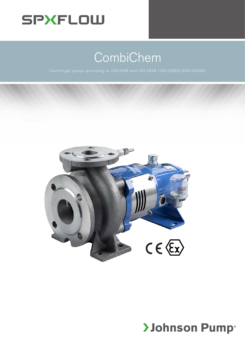

# CombiChem



# **>Johnson Pump**®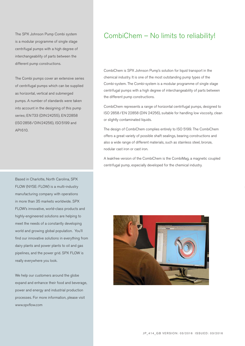The SPX Johnson Pump Combi system is a modular programme of single stage centrifugal pumps with a high degree of interchangeability of parts between the different pump constructions.

The Combi pumps cover an extensive series of centrifugal pumps which can be supplied as horizontal, vertical and submerged pumps. A number of standards were taken into account in the designing of this pump series; EN 733 (DIN 24255), EN 22858 (ISO 2858/DIN 24256), ISO 5199 and API610.

Based in Charlotte, North Carolina, SPX FLOW (NYSE: FLOW) is a multi-industry manufacturing company with operations in more than 35 markets worldwide. SPX FLOW's innovative, world-class products and highly-engineered solutions are helping to meet the needs of a constantly developing world and growing global population. You'll find our innovative solutions in everything from dairy plants and power plants to oil and gas pipelines, and the power grid. SPX FLOW is really everywhere you look.

We help our customers around the globe expand and enhance their food and beverage, power and energy and industrial production processes. For more information, please visit www.spxflow.com

### CombiChem – No limits to reliability!

CombiChem is SPX Johnson Pump's solution for liquid transport in the chemical industry. It is one of the most outstanding pump types of the Combi-system. The Combi-system is a modular programme of single stage centrifugal pumps with a high degree of interchangeability of parts between the different pump constructions.

CombiChem represents a range of horizontal centrifugal pumps, designed to ISO 2858/EN 22858 (DIN 24256), suitable for handling low viscosity, clean or slightly contaminated liquids.

The design of CombiChem complies entirely to ISO 5199. The CombiChem offers a great variety of possible shaft sealings, bearing constructions and also a wide range of different materials, such as stainless steel, bronze, nodular cast iron or cast iron.

A leakfree version of the CombiChem is the CombiMag, a magnetic coupled centrifugal pump, especially developed for the chemical industry.

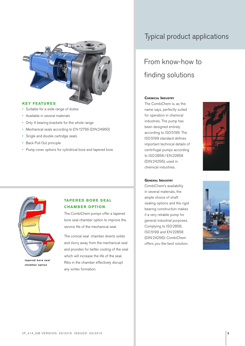

#### **KEY FEATURES**

- • Suitable for a wide range of duties
- • Available in several materials
- • Only 4 bearing brackets for the whole range
- • Mechanical seals according to EN12756 (DIN24960)
- • Single and double cartridge seals
- • Back Pull Out principle
- Pump cover options for cylindrical bore and tapered bore

### Typical product applications

## From know-how to finding solutions

#### **Chemical Industry**

The CombiChem is, as the name says, perfectly suited for operation in chemical industries. The pump has been designed entirely according to ISO 5199. The ISO 5199 standard defines important technical details of centrifugal pumps according to ISO 2858/EN 22858 (DIN 24256), used in chemical industries.



#### **General Industry**

CombiChem's availability in several materials, the ample choice of shaft sealing options and the rigid bearing construction makes it a very reliable pump for general industrial purposes. Complying to ISO 2858, ISO 5199 and EN 22858 (DIN 24256): CombiChem offers you the best solution.





**chamber option**

#### **TAPERED BORE SEAL CHAMBER OPTION**

The CombiChem pumps offer a tapered bore seal chamber option to improve the service life of the mechanical seal.

The conical seal chamber diverts solids and slurry away from the mechanical seal and provides for better cooling of the seal which will increase the life of the seal. Ribs in the chamber effectively disrupt any vortex formation.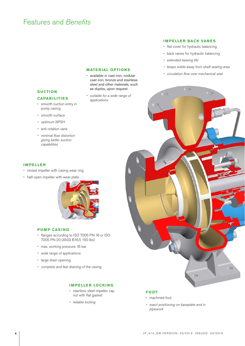### Features and *Benefits*

#### **MATERIAL OPTIONS**

- • available in cast iron, nodular cast iron, bronze and stainless steel and other materials, such as duplex, upon request
- suitable for a wide range of applications

#### **IMPELLER BACK VANES**

- flat cover for hydraulic balancing
- • back vanes for hydraulic balancing
- extended bearing life
- keeps solids away from shaft sealing area
- • circulation flow over mechanical seal

#### **SUCTION**

#### **CAPABILITIES**

- smooth suction entry in pump casing
- smooth surface
- • optimum NPSH
- anti rotation vane
- • minimal flow distortion giving better suction capabilities

#### **IMPELLER**

- • closed impeller with casing wear ring
- • half-open impeller with wear plate



#### **PUMP CASING**

- • flanges according to ISO 7005 PN 16 or ISO 7005 PN 20 (ANSI B16.5 150 lbs)
- max. working pressure 16 bar
- wide range of applications
- large drain opening
- • complete and fast draining of the casing

#### **IMPELLER LOCKING**

- • stainless steel impeller cap nut with flat gasket
- reliable locking



#### **FOOT**

- machined foot
- • exact positioning on baseplate and in pipework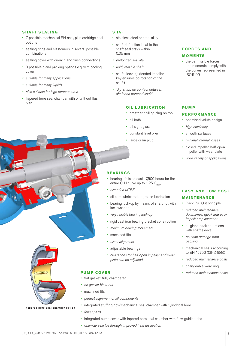#### **SHAFT SEALING**

- • 7 possible mechanical EN-seal, plus cartridge seal options
- sealing rings and elastomers in several possible combinations
- sealing cover with quench and flush connections
- • 3 possible gland packing options e.g. with cooling cover
- • suitable for many applications
- • suitable for many liquids
- also suitable for high temperatures
- • Tapered bore seal chamber with or without flush plan

#### **SHAFT**

- stainless steel or steel alloy
- • shaft deflection local to the shaft seal stays within 0,05 mm
- prolonged seal life
- • rigid, reliable shaft
- shaft sleeve (extended impeller key ensures co-rotation of the shaft)
- • 'dry' shaft: no contact between shaft and pumped liquid

#### **OIL LUBRICATION**

- breather / filling plug on top
- • oil bath
- • oil sight glass
- constant level oiler
- large drain plug

#### **PU M P**

#### **PERFORMANCE**

**FORCES AND MOMENTS**

ISO5199

• the permissible forces and moments comply with the curves represented in

- optimised volute design
- high efficiency
- smooth surfaces
- minimal internal losses
- • closed impeller, half-open impeller with wear plate
- wide variety of applications

#### **BEARINGS**

- • bearing life is at least 17,500 hours for the entire  $Q-H$  curve up to 1.25  $Q_{BED}$
- extended MTBF
- • oil bath lubricated or grease lubrication
- • bearing lock-up by means of shaft nut with lock washer
- very reliable bearing lock-up
- rigid cast iron bearing bracket construction
- minimum bearing movement
- machined fits
- exact alignment
- • adjustable bearings
- • clearances for half-open impeller and wear plate can be adjusted

- flat gasket, fully chambered
- no gasket blow-out
- machined fits
- perfect alignment of all components
- integrated stuffing box/mechanical seal chamber with cylindrical bore
- • fewer parts
- integrated pump cover with tapered bore seal chamber with flow-guiding ribs
- • optimize seal life through improved heat dissipation

### • reduced maintenance

**MAINTENANCE** • Back Pull Out principle

downtimes, quick and easy impeller replacement

**EASY AND LOW COST** 

- all gland packing options with shaft sleeve
- • no shaft damage from packing
- mechanical seals according to EN 12756 (DIN 24960)
- reduced maintenance costs
- changeable wear ring
- **PUMP COVER** reduced maintenance costs

**tapered bore seal chamber option**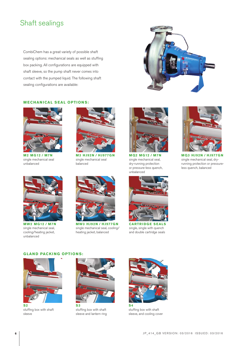### Shaft sealings

CombiChem has a great variety of possible shaft sealing options: mechanical seals as well as stuffing box packing. All configurations are equipped with shaft sleeve, so the pump shaft never comes into contact with the pumped liquid. The following shaft sealing configurations are available:



#### **MECHANICAL SEAL OPTIONS:**

![](_page_5_Picture_4.jpeg)

**M2 MG12 / M7N** single mechanical seal unbalanced

![](_page_5_Picture_6.jpeg)

**M3 HJ92N / HJ977GN** single mechanical seal balanced

![](_page_5_Picture_8.jpeg)

**MQ2 MG12 / M7N** single mechanical seal, dry-running protection or pressure-less quench, unbalanced

![](_page_5_Picture_10.jpeg)

single mechanical seal, dryrunning protection or pressureless quench, balanced

![](_page_5_Picture_12.jpeg)

**MW2 MG12 / M7N** single mechanical seal, cooling/heating jacket, unbalanced

![](_page_5_Picture_14.jpeg)

**MW3 HJ92N / HJ977GN** single mechanical seal, cooling/ heating jacket, balanced

![](_page_5_Picture_16.jpeg)

**CARTRIDGE SEALS** single, single with quench and double cartridge seals

#### **GLAND PACKING OPTIONS:**

![](_page_5_Picture_19.jpeg)

stuffing box with shaft sleeve

![](_page_5_Picture_21.jpeg)

**S3** stuffing box with shaft sleeve and lantern ring

![](_page_5_Picture_23.jpeg)

stuffing box with shaft sleeve, and cooling cover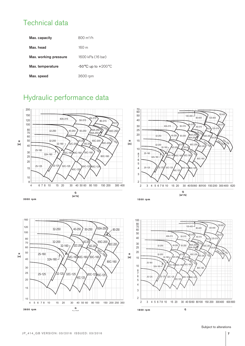### Technical data

| Max. capacity         | $800 \; \rm m^3/h$                     |
|-----------------------|----------------------------------------|
| Max. head             | $160 \text{ m}$                        |
| Max. working pressure | 1600 kPa (16 bar)                      |
| Max. temperature      | $-50^{\circ}$ C up to $+200^{\circ}$ C |
| Max. speed            | 3600 rpm                               |

### Hydraulic performance data

![](_page_6_Figure_3.jpeg)